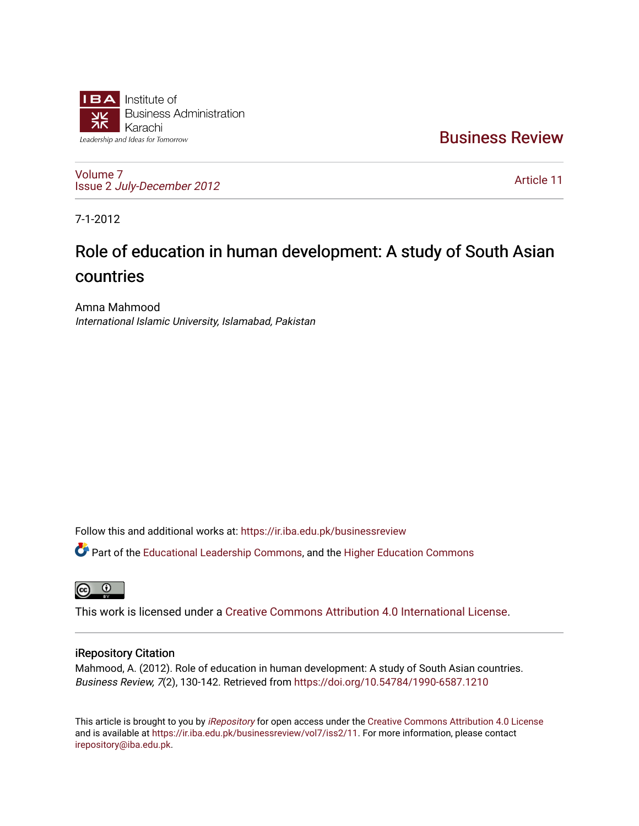

[Business Review](https://ir.iba.edu.pk/businessreview) 

[Volume 7](https://ir.iba.edu.pk/businessreview/vol7) Issue 2 [July-December 2012](https://ir.iba.edu.pk/businessreview/vol7/iss2)

[Article 11](https://ir.iba.edu.pk/businessreview/vol7/iss2/11) 

7-1-2012

# Role of education in human development: A study of South Asian countries

Amna Mahmood International Islamic University, Islamabad, Pakistan

Follow this and additional works at: [https://ir.iba.edu.pk/businessreview](https://ir.iba.edu.pk/businessreview?utm_source=ir.iba.edu.pk%2Fbusinessreview%2Fvol7%2Fiss2%2F11&utm_medium=PDF&utm_campaign=PDFCoverPages) 

Part of the [Educational Leadership Commons,](http://network.bepress.com/hgg/discipline/1230?utm_source=ir.iba.edu.pk%2Fbusinessreview%2Fvol7%2Fiss2%2F11&utm_medium=PDF&utm_campaign=PDFCoverPages) and the [Higher Education Commons](http://network.bepress.com/hgg/discipline/1245?utm_source=ir.iba.edu.pk%2Fbusinessreview%2Fvol7%2Fiss2%2F11&utm_medium=PDF&utm_campaign=PDFCoverPages)

**ම** 

This work is licensed under a [Creative Commons Attribution 4.0 International License](https://creativecommons.org/licenses/by/4.0/).

# iRepository Citation

Mahmood, A. (2012). Role of education in human development: A study of South Asian countries. Business Review, 7(2), 130-142. Retrieved from<https://doi.org/10.54784/1990-6587.1210>

This article is brought to you by [iRepository](https://ir.iba.edu.pk/) for open access under the Creative Commons Attribution 4.0 License and is available at [https://ir.iba.edu.pk/businessreview/vol7/iss2/11.](https://ir.iba.edu.pk/businessreview/vol7/iss2/11) For more information, please contact [irepository@iba.edu.pk.](mailto:irepository@iba.edu.pk)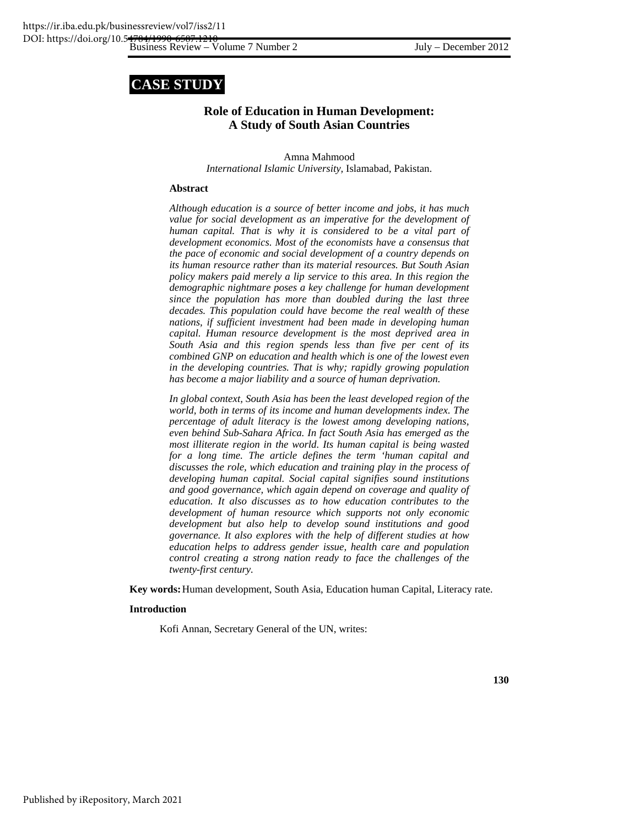# **CASE STUDY**

# **Role of Education in Human Development: A Study of South Asian Countries**

Amna Mahmood *International Islamic University,* Islamabad, Pakistan.

# **Abstract**

*Although education is a source of better income and jobs, it has much value for social development as an imperative for the development of human capital. That is why it is considered to be a vital part of development economics. Most of the economists have a consensus that the pace of economic and social development of a country depends on its human resource rather than its material resources. But South Asian policy makers paid merely a lip service to this area. In this region the demographic nightmare poses a key challenge for human development since the population has more than doubled during the last three decades. This population could have become the real wealth of these nations, if sufficient investment had been made in developing human capital. Human resource development is the most deprived area in South Asia and this region spends less than five per cent of its combined GNP on education and health which is one of the lowest even in the developing countries. That is why; rapidly growing population has become a major liability and a source of human deprivation.* 

*In global context, South Asia has been the least developed region of the world, both in terms of its income and human developments index. The percentage of adult literacy is the lowest among developing nations, even behind Sub-Sahara Africa. In fact South Asia has emerged as the most illiterate region in the world. Its human capital is being wasted for a long time. The article defines the term 'human capital and discusses the role, which education and training play in the process of developing human capital. Social capital signifies sound institutions and good governance, which again depend on coverage and quality of education. It also discusses as to how education contributes to the development of human resource which supports not only economic development but also help to develop sound institutions and good governance. It also explores with the help of different studies at how education helps to address gender issue, health care and population control creating a strong nation ready to face the challenges of the twenty-first century.* 

**Key words:** Human development, South Asia, Education human Capital, Literacy rate.

#### **Introduction**

Kofi Annan, Secretary General of the UN, writes: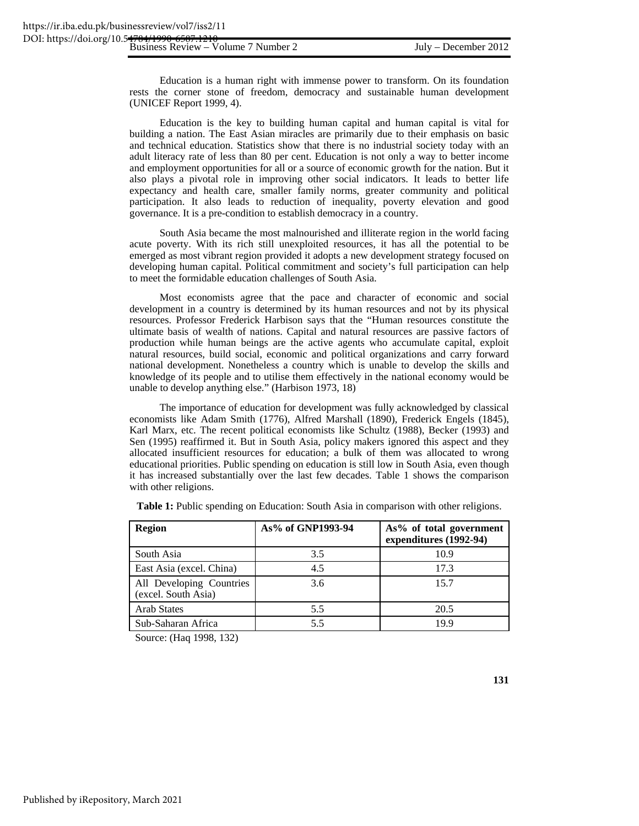Education is a human right with immense power to transform. On its foundation rests the corner stone of freedom, democracy and sustainable human development (UNICEF Report 1999, 4).

Education is the key to building human capital and human capital is vital for building a nation. The East Asian miracles are primarily due to their emphasis on basic and technical education. Statistics show that there is no industrial society today with an adult literacy rate of less than 80 per cent. Education is not only a way to better income and employment opportunities for all or a source of economic growth for the nation. But it also plays a pivotal role in improving other social indicators. It leads to better life expectancy and health care, smaller family norms, greater community and political participation. It also leads to reduction of inequality, poverty elevation and good governance. It is a pre-condition to establish democracy in a country.

South Asia became the most malnourished and illiterate region in the world facing acute poverty. With its rich still unexploited resources, it has all the potential to be emerged as most vibrant region provided it adopts a new development strategy focused on developing human capital. Political commitment and society's full participation can help to meet the formidable education challenges of South Asia.

Most economists agree that the pace and character of economic and social development in a country is determined by its human resources and not by its physical resources. Professor Frederick Harbison says that the "Human resources constitute the ultimate basis of wealth of nations. Capital and natural resources are passive factors of production while human beings are the active agents who accumulate capital, exploit natural resources, build social, economic and political organizations and carry forward national development. Nonetheless a country which is unable to develop the skills and knowledge of its people and to utilise them effectively in the national economy would be unable to develop anything else." (Harbison 1973, 18)

The importance of education for development was fully acknowledged by classical economists like Adam Smith (1776), Alfred Marshall (1890), Frederick Engels (1845), Karl Marx, etc. The recent political economists like Schultz (1988), Becker (1993) and Sen (1995) reaffirmed it. But in South Asia, policy makers ignored this aspect and they allocated insufficient resources for education; a bulk of them was allocated to wrong educational priorities. Public spending on education is still low in South Asia, even though it has increased substantially over the last few decades. Table 1 shows the comparison with other religions.

| <b>Region</b>                                   | As% of GNP1993-94 | As% of total government<br>expenditures (1992-94) |
|-------------------------------------------------|-------------------|---------------------------------------------------|
| South Asia                                      | 3.5               | 10.9                                              |
| East Asia (excel. China)                        | 4.5               | 17.3                                              |
| All Developing Countries<br>(excel. South Asia) | 3.6               | 15.7                                              |
| <b>Arab States</b>                              | 5.5               | 20.5                                              |
| Sub-Saharan Africa                              | 5.5               | 19.9                                              |

**Table 1:** Public spending on Education: South Asia in comparison with other religions.

Source: (Haq 1998, 132)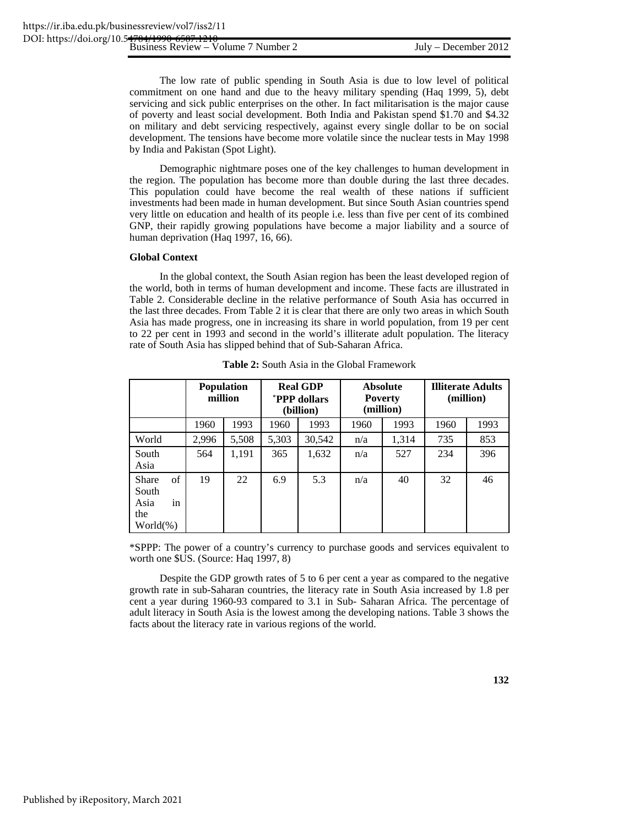The low rate of public spending in South Asia is due to low level of political commitment on one hand and due to the heavy military spending (Haq 1999, 5), debt servicing and sick public enterprises on the other. In fact militarisation is the major cause of poverty and least social development. Both India and Pakistan spend \$1.70 and \$4.32 on military and debt servicing respectively, against every single dollar to be on social development. The tensions have become more volatile since the nuclear tests in May 1998 by India and Pakistan (Spot Light).

Demographic nightmare poses one of the key challenges to human development in the region. The population has become more than double during the last three decades. This population could have become the real wealth of these nations if sufficient investments had been made in human development. But since South Asian countries spend very little on education and health of its people i.e. less than five per cent of its combined GNP, their rapidly growing populations have become a major liability and a source of human deprivation (Haq 1997, 16, 66).

# **Global Context**

In the global context, the South Asian region has been the least developed region of the world, both in terms of human development and income. These facts are illustrated in Table 2. Considerable decline in the relative performance of South Asia has occurred in the last three decades. From Table 2 it is clear that there are only two areas in which South Asia has made progress, one in increasing its share in world population, from 19 per cent to 22 per cent in 1993 and second in the world's illiterate adult population. The literacy rate of South Asia has slipped behind that of Sub-Saharan Africa.

|                                                                         |       | <b>Population</b><br>million | <b>Real GDP</b><br><b>PPP dollars</b><br>(billion) |        | <b>Absolute</b><br><b>Poverty</b><br>(million) |       | <b>Illiterate Adults</b><br>(million) |      |
|-------------------------------------------------------------------------|-------|------------------------------|----------------------------------------------------|--------|------------------------------------------------|-------|---------------------------------------|------|
|                                                                         | 1960  | 1993                         | 1960                                               | 1993   | 1960                                           | 1993  | 1960                                  | 1993 |
| World                                                                   | 2,996 | 5,508                        | 5,303                                              | 30,542 | n/a                                            | 1,314 | 735                                   | 853  |
| South<br>Asia                                                           | 564   | 1,191                        | 365                                                | 1,632  | n/a                                            | 527   | 234                                   | 396  |
| of<br><b>Share</b><br>South<br>Asia<br><sub>in</sub><br>the<br>World(%) | 19    | 22                           | 6.9                                                | 5.3    | n/a                                            | 40    | 32                                    | 46   |

**Table 2:** South Asia in the Global Framework

\*SPPP: The power of a country's currency to purchase goods and services equivalent to worth one \$US. (Source: Haq 1997, 8)

Despite the GDP growth rates of 5 to 6 per cent a year as compared to the negative growth rate in sub-Saharan countries, the literacy rate in South Asia increased by 1.8 per cent a year during 1960-93 compared to 3.1 in Sub- Saharan Africa. The percentage of adult literacy in South Asia is the lowest among the developing nations. Table 3 shows the facts about the literacy rate in various regions of the world.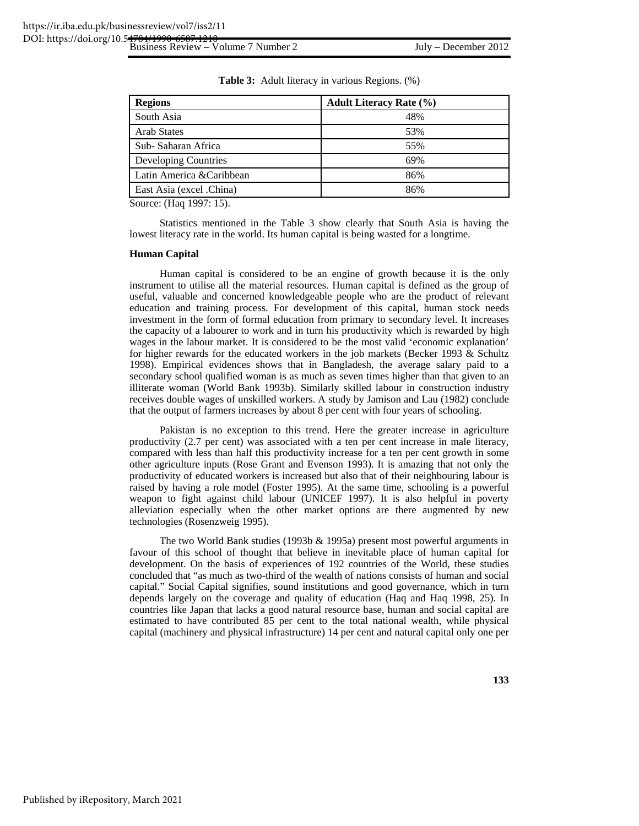| <b>Regions</b>            | <b>Adult Literacy Rate (%)</b> |
|---------------------------|--------------------------------|
| South Asia                | 48%                            |
| <b>Arab States</b>        | 53%                            |
| Sub-Saharan Africa        | 55%                            |
| Developing Countries      | 69%                            |
| Latin America & Caribbean | 86%                            |
| East Asia (excel .China)  | 86%                            |

**Table 3:** Adult literacy in various Regions. (%)

Source: (Haq 1997: 15).

Statistics mentioned in the Table 3 show clearly that South Asia is having the lowest literacy rate in the world. Its human capital is being wasted for a longtime.

# **Human Capital**

Human capital is considered to be an engine of growth because it is the only instrument to utilise all the material resources. Human capital is defined as the group of useful, valuable and concerned knowledgeable people who are the product of relevant education and training process. For development of this capital, human stock needs investment in the form of formal education from primary to secondary level. It increases the capacity of a labourer to work and in turn his productivity which is rewarded by high wages in the labour market. It is considered to be the most valid 'economic explanation' for higher rewards for the educated workers in the job markets (Becker 1993 & Schultz 1998). Empirical evidences shows that in Bangladesh, the average salary paid to a secondary school qualified woman is as much as seven times higher than that given to an illiterate woman (World Bank 1993b). Similarly skilled labour in construction industry receives double wages of unskilled workers. A study by Jamison and Lau (1982) conclude that the output of farmers increases by about 8 per cent with four years of schooling.

Pakistan is no exception to this trend. Here the greater increase in agriculture productivity (2.7 per cent) was associated with a ten per cent increase in male literacy, compared with less than half this productivity increase for a ten per cent growth in some other agriculture inputs (Rose Grant and Evenson 1993). It is amazing that not only the productivity of educated workers is increased but also that of their neighbouring labour is raised by having a role model (Foster 1995). At the same time, schooling is a powerful weapon to fight against child labour (UNICEF 1997). It is also helpful in poverty alleviation especially when the other market options are there augmented by new technologies (Rosenzweig 1995).

The two World Bank studies (1993b & 1995a) present most powerful arguments in favour of this school of thought that believe in inevitable place of human capital for development. On the basis of experiences of 192 countries of the World, these studies concluded that "as much as two-third of the wealth of nations consists of human and social capital." Social Capital signifies, sound institutions and good governance, which in turn depends largely on the coverage and quality of education (Haq and Haq 1998, 25). In countries like Japan that lacks a good natural resource base, human and social capital are estimated to have contributed 85 per cent to the total national wealth, while physical capital (machinery and physical infrastructure) 14 per cent and natural capital only one per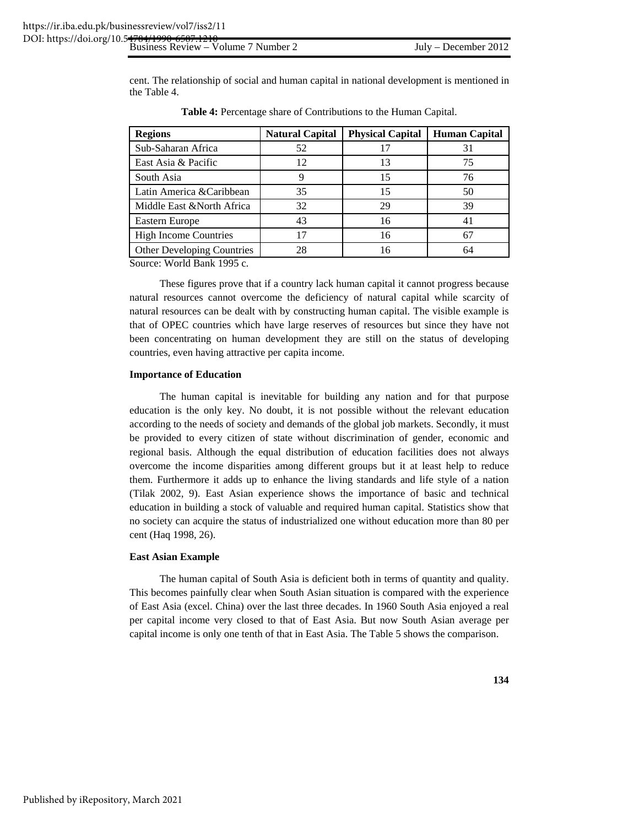cent. The relationship of social and human capital in national development is mentioned in the Table 4.

| <b>Regions</b>               | <b>Natural Capital</b> | <b>Physical Capital</b> | <b>Human Capital</b> |
|------------------------------|------------------------|-------------------------|----------------------|
| Sub-Saharan Africa           | 52                     | 17                      | 31                   |
| East Asia & Pacific          | 12                     | 13                      | 75                   |
| South Asia                   |                        | 15                      | 76                   |
| Latin America &Caribbean     | 35                     | 15                      | 50                   |
| Middle East & North Africa   | 32                     | 29                      | 39                   |
| Eastern Europe               | 43                     | 16                      | 41                   |
| <b>High Income Countries</b> | 17                     | 16                      | 67                   |
| Other Developing Countries   | 28                     | 16                      | 64                   |

**Table 4:** Percentage share of Contributions to the Human Capital.

Source: World Bank 1995 c.

These figures prove that if a country lack human capital it cannot progress because natural resources cannot overcome the deficiency of natural capital while scarcity of natural resources can be dealt with by constructing human capital. The visible example is that of OPEC countries which have large reserves of resources but since they have not been concentrating on human development they are still on the status of developing countries, even having attractive per capita income.

#### **Importance of Education**

The human capital is inevitable for building any nation and for that purpose education is the only key. No doubt, it is not possible without the relevant education according to the needs of society and demands of the global job markets. Secondly, it must be provided to every citizen of state without discrimination of gender, economic and regional basis. Although the equal distribution of education facilities does not always overcome the income disparities among different groups but it at least help to reduce them. Furthermore it adds up to enhance the living standards and life style of a nation (Tilak 2002, 9). East Asian experience shows the importance of basic and technical education in building a stock of valuable and required human capital. Statistics show that no society can acquire the status of industrialized one without education more than 80 per cent (Haq 1998, 26).

# **East Asian Example**

The human capital of South Asia is deficient both in terms of quantity and quality. This becomes painfully clear when South Asian situation is compared with the experience of East Asia (excel. China) over the last three decades. In 1960 South Asia enjoyed a real per capital income very closed to that of East Asia. But now South Asian average per capital income is only one tenth of that in East Asia. The Table 5 shows the comparison.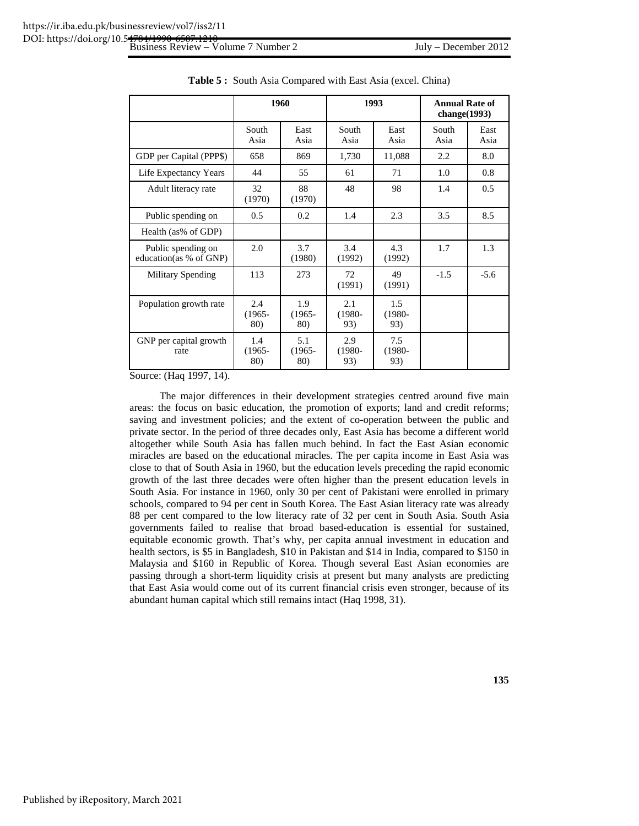|                                              | 1960                    |                         | 1993                    |                         | <b>Annual Rate of</b><br>change $(1993)$ |              |
|----------------------------------------------|-------------------------|-------------------------|-------------------------|-------------------------|------------------------------------------|--------------|
|                                              | South<br>Asia           | East<br>Asia            | South<br>Asia           | East<br>Asia            | South<br>Asia                            | East<br>Asia |
| GDP per Capital (PPP\$)                      | 658                     | 869                     | 1,730                   | 11,088                  | 2.2                                      | 8.0          |
| Life Expectancy Years                        | 44                      | 55                      | 61                      | 71                      | 1.0                                      | 0.8          |
| Adult literacy rate                          | 32<br>(1970)            | 88<br>(1970)            | 48                      | 98                      | 1.4                                      | 0.5          |
| Public spending on                           | 0.5                     | 0.2                     | 1.4                     | 2.3                     | 3.5                                      | 8.5          |
| Health (as% of GDP)                          |                         |                         |                         |                         |                                          |              |
| Public spending on<br>education(as % of GNP) | 2.0                     | 3.7<br>(1980)           | 3.4<br>(1992)           | 4.3<br>(1992)           | 1.7                                      | 1.3          |
| <b>Military Spending</b>                     | 113                     | 273                     | 72<br>(1991)            | 49<br>(1991)            | $-1.5$                                   | $-5.6$       |
| Population growth rate                       | 2.4<br>$(1965 -$<br>80) | 1.9<br>$(1965 -$<br>80) | 2.1<br>$(1980 -$<br>93) | 1.5<br>$(1980 -$<br>93) |                                          |              |
| GNP per capital growth<br>rate               | 1.4<br>$(1965 -$<br>80) | 5.1<br>$(1965 -$<br>80) | 2.9<br>$(1980 -$<br>93) | 7.5<br>$(1980 -$<br>93) |                                          |              |

**Table 5 :** South Asia Compared with East Asia (excel. China)

Source: (Haq 1997, 14).

The major differences in their development strategies centred around five main areas: the focus on basic education, the promotion of exports; land and credit reforms; saving and investment policies; and the extent of co-operation between the public and private sector. In the period of three decades only, East Asia has become a different world altogether while South Asia has fallen much behind. In fact the East Asian economic miracles are based on the educational miracles. The per capita income in East Asia was close to that of South Asia in 1960, but the education levels preceding the rapid economic growth of the last three decades were often higher than the present education levels in South Asia. For instance in 1960, only 30 per cent of Pakistani were enrolled in primary schools, compared to 94 per cent in South Korea. The East Asian literacy rate was already 88 per cent compared to the low literacy rate of 32 per cent in South Asia. South Asia governments failed to realise that broad based-education is essential for sustained, equitable economic growth. That's why, per capita annual investment in education and health sectors, is \$5 in Bangladesh, \$10 in Pakistan and \$14 in India, compared to \$150 in Malaysia and \$160 in Republic of Korea. Though several East Asian economies are passing through a short-term liquidity crisis at present but many analysts are predicting that East Asia would come out of its current financial crisis even stronger, because of its abundant human capital which still remains intact (Haq 1998, 31).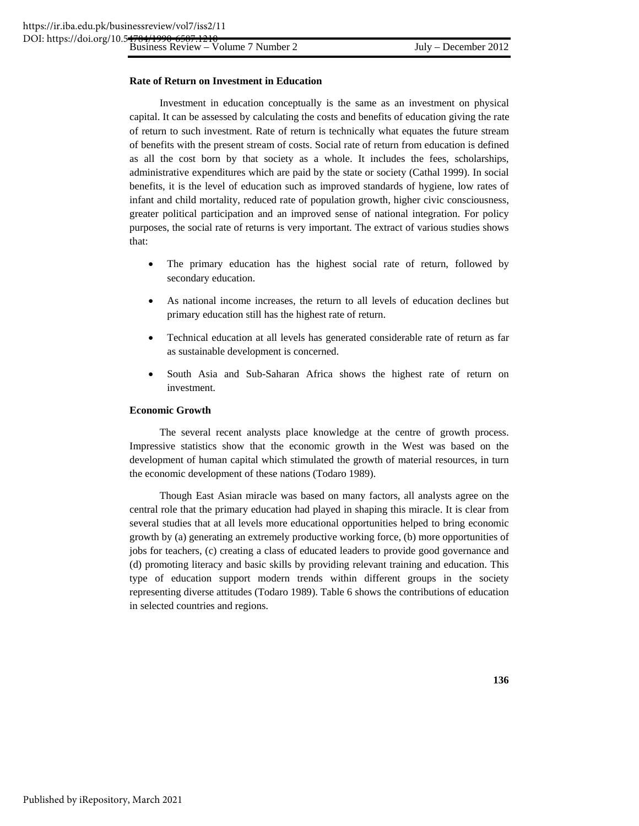# **Rate of Return on Investment in Education**

Investment in education conceptually is the same as an investment on physical capital. It can be assessed by calculating the costs and benefits of education giving the rate of return to such investment. Rate of return is technically what equates the future stream of benefits with the present stream of costs. Social rate of return from education is defined as all the cost born by that society as a whole. It includes the fees, scholarships, administrative expenditures which are paid by the state or society (Cathal 1999). In social benefits, it is the level of education such as improved standards of hygiene, low rates of infant and child mortality, reduced rate of population growth, higher civic consciousness, greater political participation and an improved sense of national integration. For policy purposes, the social rate of returns is very important. The extract of various studies shows that:

- The primary education has the highest social rate of return, followed by secondary education.
- As national income increases, the return to all levels of education declines but primary education still has the highest rate of return.
- Technical education at all levels has generated considerable rate of return as far as sustainable development is concerned.
- South Asia and Sub-Saharan Africa shows the highest rate of return on investment.

# **Economic Growth**

The several recent analysts place knowledge at the centre of growth process. Impressive statistics show that the economic growth in the West was based on the development of human capital which stimulated the growth of material resources, in turn the economic development of these nations (Todaro 1989).

Though East Asian miracle was based on many factors, all analysts agree on the central role that the primary education had played in shaping this miracle. It is clear from several studies that at all levels more educational opportunities helped to bring economic growth by (a) generating an extremely productive working force, (b) more opportunities of jobs for teachers, (c) creating a class of educated leaders to provide good governance and (d) promoting literacy and basic skills by providing relevant training and education. This type of education support modern trends within different groups in the society representing diverse attitudes (Todaro 1989). Table 6 shows the contributions of education in selected countries and regions.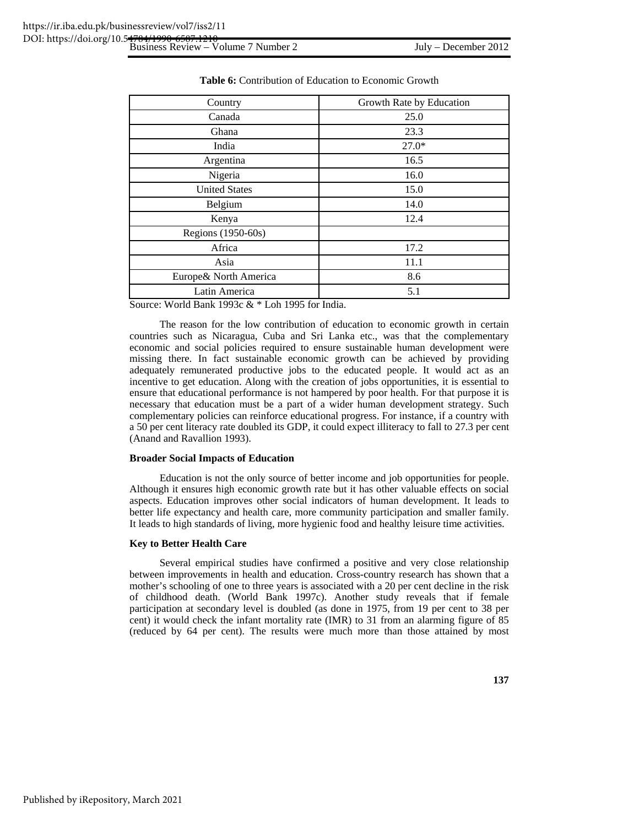| Country                | Growth Rate by Education |
|------------------------|--------------------------|
| Canada                 | 25.0                     |
| Ghana                  | 23.3                     |
| India                  | $27.0*$                  |
| Argentina              | 16.5                     |
| Nigeria                | 16.0                     |
| <b>United States</b>   | 15.0                     |
| Belgium                | 14.0                     |
| Kenya                  | 12.4                     |
| Regions (1950-60s)     |                          |
| Africa                 | 17.2                     |
| Asia                   | 11.1                     |
| Europe & North America | 8.6                      |
| Latin America          | 5.1                      |

| <b>Table 6:</b> Contribution of Education to Economic Growth |  |
|--------------------------------------------------------------|--|
|--------------------------------------------------------------|--|

Source: World Bank 1993c & \* Loh 1995 for India.

The reason for the low contribution of education to economic growth in certain countries such as Nicaragua, Cuba and Sri Lanka etc., was that the complementary economic and social policies required to ensure sustainable human development were missing there. In fact sustainable economic growth can be achieved by providing adequately remunerated productive jobs to the educated people. It would act as an incentive to get education. Along with the creation of jobs opportunities, it is essential to ensure that educational performance is not hampered by poor health. For that purpose it is necessary that education must be a part of a wider human development strategy. Such complementary policies can reinforce educational progress. For instance, if a country with a 50 per cent literacy rate doubled its GDP, it could expect illiteracy to fall to 27.3 per cent (Anand and Ravallion 1993).

# **Broader Social Impacts of Education**

Education is not the only source of better income and job opportunities for people. Although it ensures high economic growth rate but it has other valuable effects on social aspects. Education improves other social indicators of human development. It leads to better life expectancy and health care, more community participation and smaller family. It leads to high standards of living, more hygienic food and healthy leisure time activities.

# **Key to Better Health Care**

Several empirical studies have confirmed a positive and very close relationship between improvements in health and education. Cross-country research has shown that a mother's schooling of one to three years is associated with a 20 per cent decline in the risk of childhood death. (World Bank 1997c). Another study reveals that if female participation at secondary level is doubled (as done in 1975, from 19 per cent to 38 per cent) it would check the infant mortality rate (IMR) to 31 from an alarming figure of 85 (reduced by 64 per cent). The results were much more than those attained by most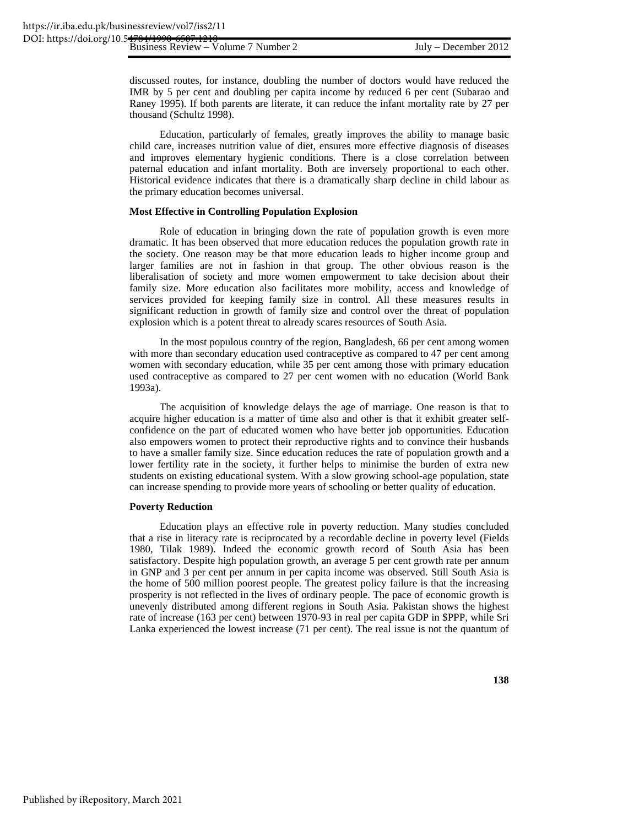discussed routes, for instance, doubling the number of doctors would have reduced the IMR by 5 per cent and doubling per capita income by reduced 6 per cent (Subarao and Raney 1995). If both parents are literate, it can reduce the infant mortality rate by 27 per thousand (Schultz 1998).

Education, particularly of females, greatly improves the ability to manage basic child care, increases nutrition value of diet, ensures more effective diagnosis of diseases and improves elementary hygienic conditions. There is a close correlation between paternal education and infant mortality. Both are inversely proportional to each other. Historical evidence indicates that there is a dramatically sharp decline in child labour as the primary education becomes universal.

# **Most Effective in Controlling Population Explosion**

Role of education in bringing down the rate of population growth is even more dramatic. It has been observed that more education reduces the population growth rate in the society. One reason may be that more education leads to higher income group and larger families are not in fashion in that group. The other obvious reason is the liberalisation of society and more women empowerment to take decision about their family size. More education also facilitates more mobility, access and knowledge of services provided for keeping family size in control. All these measures results in significant reduction in growth of family size and control over the threat of population explosion which is a potent threat to already scares resources of South Asia.

In the most populous country of the region, Bangladesh, 66 per cent among women with more than secondary education used contraceptive as compared to 47 per cent among women with secondary education, while 35 per cent among those with primary education used contraceptive as compared to 27 per cent women with no education (World Bank 1993a).

The acquisition of knowledge delays the age of marriage. One reason is that to acquire higher education is a matter of time also and other is that it exhibit greater selfconfidence on the part of educated women who have better job opportunities. Education also empowers women to protect their reproductive rights and to convince their husbands to have a smaller family size. Since education reduces the rate of population growth and a lower fertility rate in the society, it further helps to minimise the burden of extra new students on existing educational system. With a slow growing school-age population, state can increase spending to provide more years of schooling or better quality of education.

#### **Poverty Reduction**

Education plays an effective role in poverty reduction. Many studies concluded that a rise in literacy rate is reciprocated by a recordable decline in poverty level (Fields 1980, Tilak 1989). Indeed the economic growth record of South Asia has been satisfactory. Despite high population growth, an average 5 per cent growth rate per annum in GNP and 3 per cent per annum in per capita income was observed. Still South Asia is the home of 500 million poorest people. The greatest policy failure is that the increasing prosperity is not reflected in the lives of ordinary people. The pace of economic growth is unevenly distributed among different regions in South Asia. Pakistan shows the highest rate of increase (163 per cent) between 1970-93 in real per capita GDP in \$PPP, while Sri Lanka experienced the lowest increase (71 per cent). The real issue is not the quantum of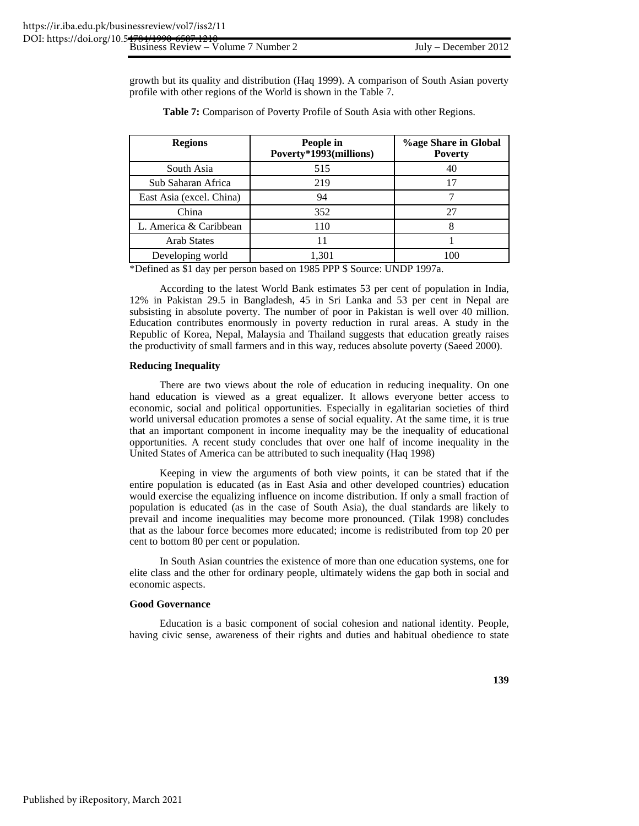growth but its quality and distribution (Haq 1999). A comparison of South Asian poverty profile with other regions of the World is shown in the Table 7.

| <b>Regions</b>           | People in<br>Poverty*1993(millions) | <b>%age Share in Global</b><br><b>Poverty</b> |
|--------------------------|-------------------------------------|-----------------------------------------------|
| South Asia               | 515                                 | 40                                            |
| Sub Saharan Africa       | 219                                 |                                               |
| East Asia (excel. China) | 94                                  |                                               |
| China                    | 352                                 | 27                                            |
| L. America & Caribbean   | 110                                 |                                               |
| <b>Arab States</b>       |                                     |                                               |
| Developing world         | 1,301                               | 100                                           |

**Table 7:** Comparison of Poverty Profile of South Asia with other Regions.

\*Defined as \$1 day per person based on 1985 PPP \$ Source: UNDP 1997a.

According to the latest World Bank estimates 53 per cent of population in India, 12% in Pakistan 29.5 in Bangladesh, 45 in Sri Lanka and 53 per cent in Nepal are subsisting in absolute poverty. The number of poor in Pakistan is well over 40 million. Education contributes enormously in poverty reduction in rural areas. A study in the Republic of Korea, Nepal, Malaysia and Thailand suggests that education greatly raises the productivity of small farmers and in this way, reduces absolute poverty (Saeed 2000).

#### **Reducing Inequality**

There are two views about the role of education in reducing inequality. On one hand education is viewed as a great equalizer. It allows everyone better access to economic, social and political opportunities. Especially in egalitarian societies of third world universal education promotes a sense of social equality. At the same time, it is true that an important component in income inequality may be the inequality of educational opportunities. A recent study concludes that over one half of income inequality in the United States of America can be attributed to such inequality (Haq 1998)

Keeping in view the arguments of both view points, it can be stated that if the entire population is educated (as in East Asia and other developed countries) education would exercise the equalizing influence on income distribution. If only a small fraction of population is educated (as in the case of South Asia), the dual standards are likely to prevail and income inequalities may become more pronounced. (Tilak 1998) concludes that as the labour force becomes more educated; income is redistributed from top 20 per cent to bottom 80 per cent or population.

In South Asian countries the existence of more than one education systems, one for elite class and the other for ordinary people, ultimately widens the gap both in social and economic aspects.

#### **Good Governance**

Education is a basic component of social cohesion and national identity. People, having civic sense, awareness of their rights and duties and habitual obedience to state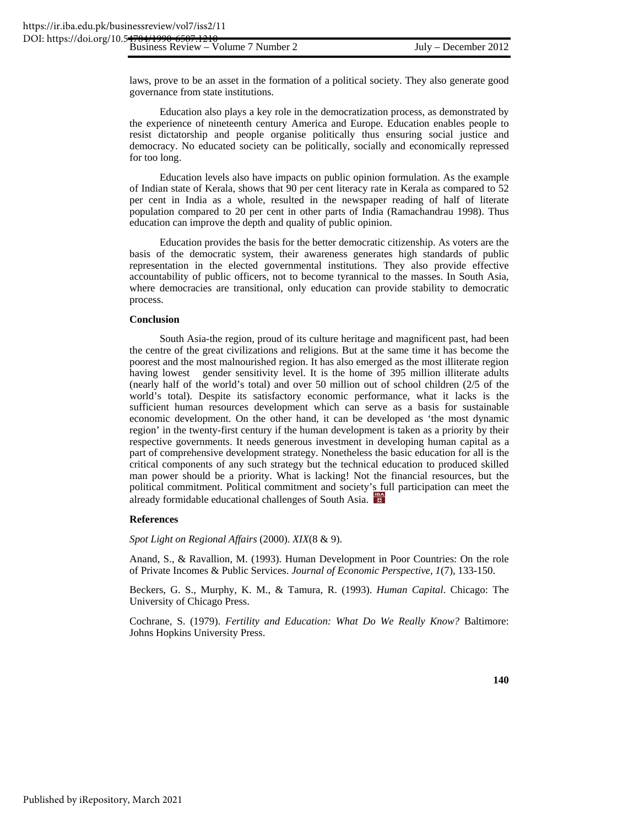laws, prove to be an asset in the formation of a political society. They also generate good governance from state institutions.

Education also plays a key role in the democratization process, as demonstrated by the experience of nineteenth century America and Europe. Education enables people to resist dictatorship and people organise politically thus ensuring social justice and democracy. No educated society can be politically, socially and economically repressed for too long.

Education levels also have impacts on public opinion formulation. As the example of Indian state of Kerala, shows that 90 per cent literacy rate in Kerala as compared to 52 per cent in India as a whole, resulted in the newspaper reading of half of literate population compared to 20 per cent in other parts of India (Ramachandrau 1998). Thus education can improve the depth and quality of public opinion.

Education provides the basis for the better democratic citizenship. As voters are the basis of the democratic system, their awareness generates high standards of public representation in the elected governmental institutions. They also provide effective accountability of public officers, not to become tyrannical to the masses. In South Asia, where democracies are transitional, only education can provide stability to democratic process.

# **Conclusion**

South Asia-the region, proud of its culture heritage and magnificent past, had been the centre of the great civilizations and religions. But at the same time it has become the poorest and the most malnourished region. It has also emerged as the most illiterate region having lowest gender sensitivity level. It is the home of 395 million illiterate adults (nearly half of the world's total) and over 50 million out of school children (2/5 of the world's total). Despite its satisfactory economic performance, what it lacks is the sufficient human resources development which can serve as a basis for sustainable economic development. On the other hand, it can be developed as 'the most dynamic region' in the twenty-first century if the human development is taken as a priority by their respective governments. It needs generous investment in developing human capital as a part of comprehensive development strategy. Nonetheless the basic education for all is the critical components of any such strategy but the technical education to produced skilled man power should be a priority. What is lacking! Not the financial resources, but the political commitment. Political commitment and society's full participation can meet the already formidable educational challenges of South Asia.

# **References**

*Spot Light on Regional Affairs* (2000). *XIX*(8 & 9).

Anand, S., & Ravallion, M. (1993). Human Development in Poor Countries: On the role of Private Incomes & Public Services. *Journal of Economic Perspective, 1*(7), 133-150.

Beckers, G. S., Murphy, K. M., & Tamura, R. (1993). *Human Capital*. Chicago: The University of Chicago Press.

Cochrane, S. (1979). *Fertility and Education: What Do We Really Know?* Baltimore: Johns Hopkins University Press.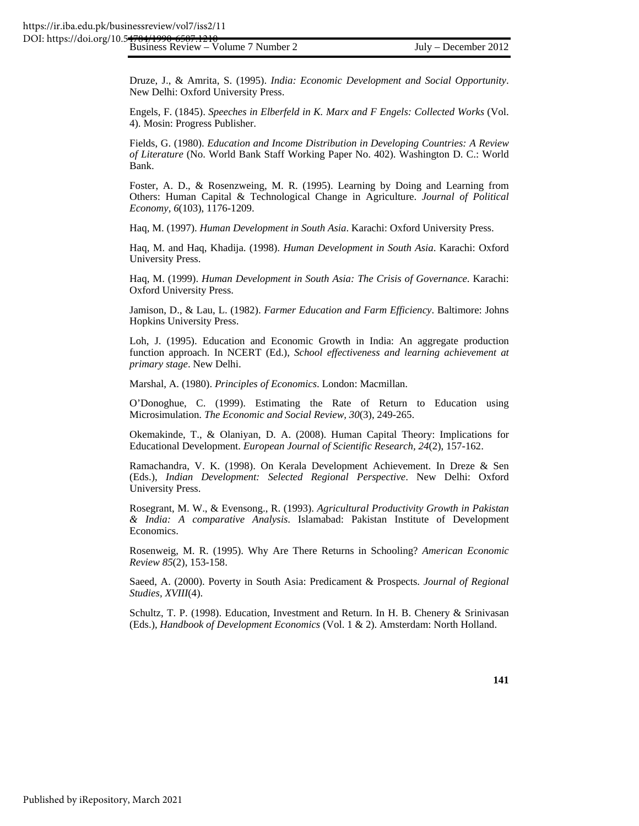Business Review – Volume 7 Number 2 July – December 2012 DOI: https://doi.org/10.54784/199

Druze, J., & Amrita, S. (1995). *India: Economic Development and Social Opportunity*. New Delhi: Oxford University Press.

Engels, F. (1845). *Speeches in Elberfeld in K. Marx and F Engels: Collected Works* (Vol. 4). Mosin: Progress Publisher.

Fields, G. (1980). *Education and Income Distribution in Developing Countries: A Review of Literature* (No. World Bank Staff Working Paper No. 402). Washington D. C.: World Bank.

Foster, A. D., & Rosenzweing, M. R. (1995). Learning by Doing and Learning from Others: Human Capital & Technological Change in Agriculture. *Journal of Political Economy, 6*(103), 1176-1209.

Haq, M. (1997). *Human Development in South Asia*. Karachi: Oxford University Press.

Haq, M. and Haq, Khadija. (1998). *Human Development in South Asia*. Karachi: Oxford University Press.

Haq, M. (1999). *Human Development in South Asia: The Crisis of Governance*. Karachi: Oxford University Press.

Jamison, D., & Lau, L. (1982). *Farmer Education and Farm Efficiency*. Baltimore: Johns Hopkins University Press.

Loh, J. (1995). Education and Economic Growth in India: An aggregate production function approach. In NCERT (Ed.), *School effectiveness and learning achievement at primary stage*. New Delhi.

Marshal, A. (1980). *Principles of Economics*. London: Macmillan.

O'Donoghue, C. (1999). Estimating the Rate of Return to Education using Microsimulation. *The Economic and Social Review, 30*(3), 249-265.

Okemakinde, T., & Olaniyan, D. A. (2008). Human Capital Theory: Implications for Educational Development. *European Journal of Scientific Research, 24*(2), 157-162.

Ramachandra, V. K. (1998). On Kerala Development Achievement. In Dreze & Sen (Eds.), *Indian Development: Selected Regional Perspective*. New Delhi: Oxford University Press.

Rosegrant, M. W., & Evensong., R. (1993). *Agricultural Productivity Growth in Pakistan & India: A comparative Analysis*. Islamabad: Pakistan Institute of Development Economics.

Rosenweig, M. R. (1995). Why Are There Returns in Schooling? *American Economic Review 85*(2), 153-158.

Saeed, A. (2000). Poverty in South Asia: Predicament & Prospects. *Journal of Regional Studies, XVIII*(4).

Schultz, T. P. (1998). Education, Investment and Return. In H. B. Chenery & Srinivasan (Eds.), *Handbook of Development Economics* (Vol. 1 & 2). Amsterdam: North Holland.